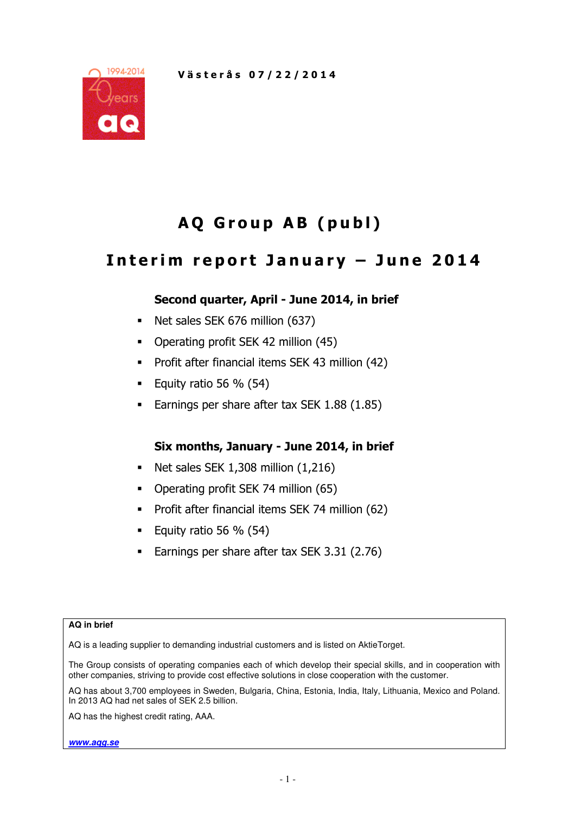

# AQ Group AB (publ)

## Interim report January  $-$  June 2014

## Second quarter, April - June 2014, in brief

- Net sales SEK 676 million (637)
- Operating profit SEK 42 million (45)
- **Profit after financial items SEK 43 million (42)**
- Equity ratio 56  $%$  (54)
- Earnings per share after tax SEK 1.88 (1.85)

## Six months, January - June 2014, in brief

- Net sales SEK 1,308 million (1,216)
- Operating profit SEK 74 million (65)
- Profit after financial items SEK 74 million (62)
- Equity ratio 56 %  $(54)$
- Earnings per share after tax SEK 3.31 (2.76)

#### **AQ in brief**

AQ is a leading supplier to demanding industrial customers and is listed on AktieTorget.

The Group consists of operating companies each of which develop their special skills, and in cooperation with other companies, striving to provide cost effective solutions in close cooperation with the customer.

AQ has about 3,700 employees in Sweden, Bulgaria, China, Estonia, India, Italy, Lithuania, Mexico and Poland. In 2013 AQ had net sales of SEK 2.5 billion.

AQ has the highest credit rating, AAA.

**www.aqg.se**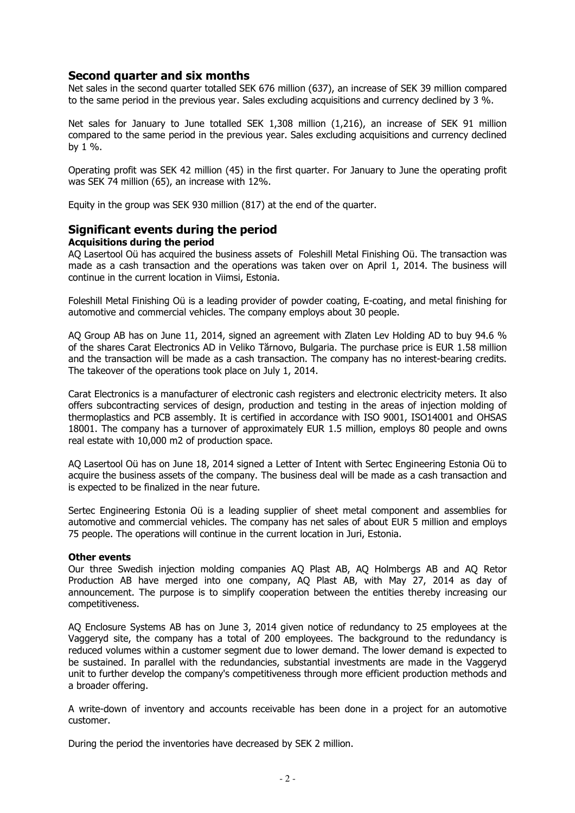## Second quarter and six months

Net sales in the second quarter totalled SEK 676 million (637), an increase of SEK 39 million compared to the same period in the previous year. Sales excluding acquisitions and currency declined by 3 %.

Net sales for January to June totalled SEK 1,308 million (1,216), an increase of SEK 91 million compared to the same period in the previous year. Sales excluding acquisitions and currency declined by  $1\%$ .

Operating profit was SEK 42 million (45) in the first quarter. For January to June the operating profit was SEK 74 million (65), an increase with 12%.

Equity in the group was SEK 930 million (817) at the end of the quarter.

## Significant events during the period

#### Acquisitions during the period

AQ Lasertool Oü has acquired the business assets of Foleshill Metal Finishing Oü. The transaction was made as a cash transaction and the operations was taken over on April 1, 2014. The business will continue in the current location in Viimsi, Estonia.

Foleshill Metal Finishing Oü is a leading provider of powder coating, E-coating, and metal finishing for automotive and commercial vehicles. The company employs about 30 people.

AQ Group AB has on June 11, 2014, signed an agreement with Zlaten Lev Holding AD to buy 94.6 % of the shares Carat Electronics AD in Veliko Tărnovo, Bulgaria. The purchase price is EUR 1.58 million and the transaction will be made as a cash transaction. The company has no interest-bearing credits. The takeover of the operations took place on July 1, 2014.

Carat Electronics is a manufacturer of electronic cash registers and electronic electricity meters. It also offers subcontracting services of design, production and testing in the areas of injection molding of thermoplastics and PCB assembly. It is certified in accordance with ISO 9001, ISO14001 and OHSAS 18001. The company has a turnover of approximately EUR 1.5 million, employs 80 people and owns real estate with 10,000 m2 of production space.

AQ Lasertool Oü has on June 18, 2014 signed a Letter of Intent with Sertec Engineering Estonia Oü to acquire the business assets of the company. The business deal will be made as a cash transaction and is expected to be finalized in the near future.

Sertec Engineering Estonia Oü is a leading supplier of sheet metal component and assemblies for automotive and commercial vehicles. The company has net sales of about EUR 5 million and employs 75 people. The operations will continue in the current location in Juri, Estonia.

#### Other events

Our three Swedish injection molding companies AQ Plast AB, AQ Holmbergs AB and AQ Retor Production AB have merged into one company, AQ Plast AB, with May 27, 2014 as day of announcement. The purpose is to simplify cooperation between the entities thereby increasing our competitiveness.

AQ Enclosure Systems AB has on June 3, 2014 given notice of redundancy to 25 employees at the Vaggeryd site, the company has a total of 200 employees. The background to the redundancy is reduced volumes within a customer segment due to lower demand. The lower demand is expected to be sustained. In parallel with the redundancies, substantial investments are made in the Vaggeryd unit to further develop the company's competitiveness through more efficient production methods and a broader offering.

A write-down of inventory and accounts receivable has been done in a project for an automotive customer.

During the period the inventories have decreased by SEK 2 million.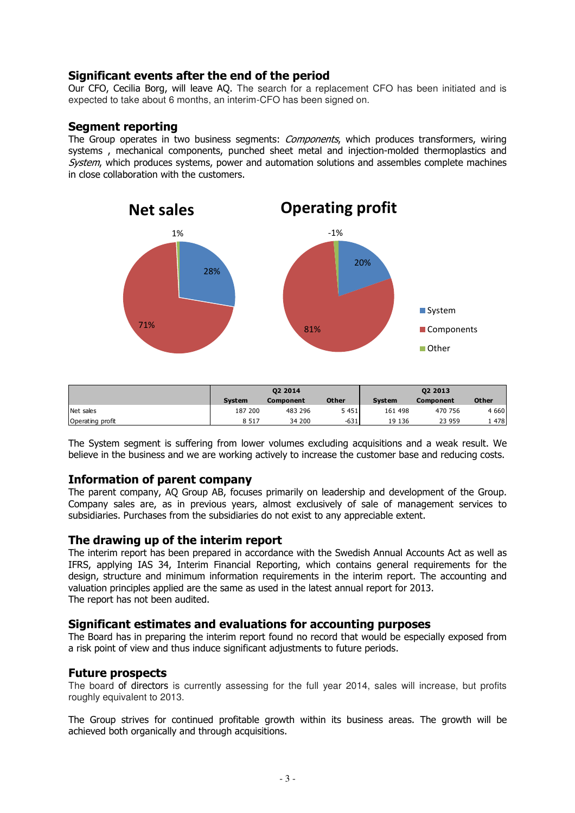## Significant events after the end of the period

Our CFO, Cecilia Borg, will leave AQ. The search for a replacement CFO has been initiated and is expected to take about 6 months, an interim-CFO has been signed on.

## Segment reporting

The Group operates in two business segments: *Components*, which produces transformers, wiring systems , mechanical components, punched sheet metal and injection-molded thermoplastics and System, which produces systems, power and automation solutions and assembles complete machines in close collaboration with the customers.



|                  |               | 02 2014   |              | 02 2013       |           |              |  |
|------------------|---------------|-----------|--------------|---------------|-----------|--------------|--|
|                  | <b>System</b> | Component | <b>Other</b> | <b>System</b> | Component | <b>Other</b> |  |
| Net sales        | 187 200       | 483 296   | 5 4 5 1      | 161 498       | 470 756   | 4 6 6 0      |  |
| Operating profit | 8 5 1 7       | 34 200    | $-631$       | 19 136        | 23 959    | 1478         |  |

The System segment is suffering from lower volumes excluding acquisitions and a weak result. We believe in the business and we are working actively to increase the customer base and reducing costs.

## Information of parent company

The parent company, AQ Group AB, focuses primarily on leadership and development of the Group. Company sales are, as in previous years, almost exclusively of sale of management services to subsidiaries. Purchases from the subsidiaries do not exist to any appreciable extent.

#### The drawing up of the interim report

The interim report has been prepared in accordance with the Swedish Annual Accounts Act as well as IFRS, applying IAS 34, Interim Financial Reporting, which contains general requirements for the design, structure and minimum information requirements in the interim report. The accounting and valuation principles applied are the same as used in the latest annual report for 2013. The report has not been audited.

#### Significant estimates and evaluations for accounting purposes

The Board has in preparing the interim report found no record that would be especially exposed from a risk point of view and thus induce significant adjustments to future periods.

## Future prospects

The board of directors is currently assessing for the full year 2014, sales will increase, but profits roughly equivalent to 2013.

The Group strives for continued profitable growth within its business areas. The growth will be achieved both organically and through acquisitions.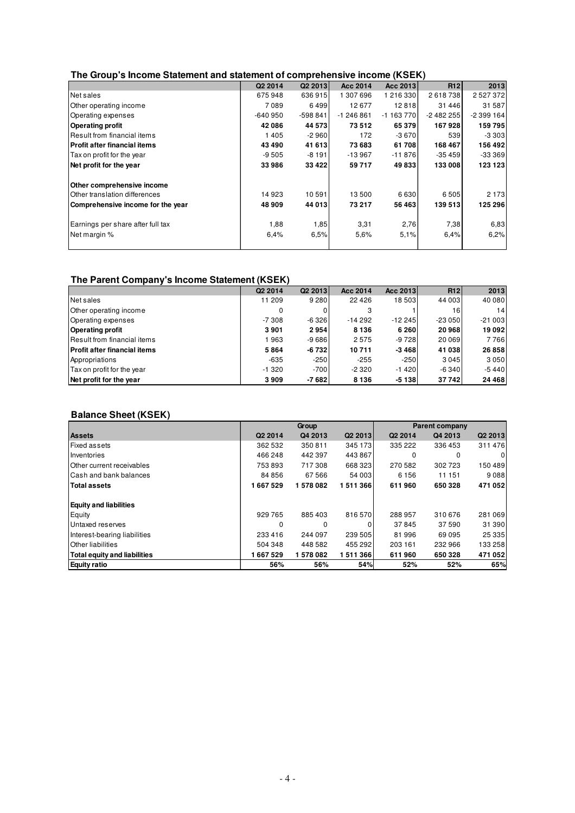#### **The Group's Income Statement and statement of comprehensive income (KSEK)**

|                                      | Q2 2014   | Q2 2013  | Acc 2014   | Acc 2013   | R <sub>12</sub> | 2013       |
|--------------------------------------|-----------|----------|------------|------------|-----------------|------------|
| Net sales                            | 675948    | 636915   | 1 307 696  | 1 216 330  | 2618738         | 2527372    |
| Other operating income               | 7089      | 6499     | 12677      | 12818      | 31 446          | 31 587     |
| Operating expenses                   | $-640950$ | -598 841 | $-1246861$ | $-1163770$ | $-2482255$      | $-2399164$ |
| <b>Operating profit</b>              | 42086     | 44 573   | 73512      | 65 379     | 167928          | 159795     |
| lResult from financial items         | 1405      | $-2960$  | 172        | $-3670$    | 539             | $-3303$    |
| <b>IProfit after financial items</b> | 43 490    | 41 613   | 73 683     | 61708      | 168 467         | 156 492    |
| Tax on profit for the year           | $-9505$   | $-8191$  | $-13967$   | $-11876$   | $-35459$        | $-333369$  |
| Net profit for the year              | 33986     | 33 4 22  | 59717      | 49833      | 133 008         | 123 123    |
| Other comprehensive income           |           |          |            |            |                 |            |
| Other translation differences        | 14923     | 10591    | 13500      | 6630       | 6505            | 2 1 7 3    |
| Comprehensive income for the year    | 48 909    | 44 013   | 73 217     | 56 463     | 139 513         | 125 296    |
| Earnings per share after full tax    | 1,88      | 1,85     | 3,31       | 2,76       | 7,38            | 6,83       |
| Net margin %                         | 6.4%      | 6.5%     | 5,6%       | 5.1%       | 6.4%            | 6,2%       |
|                                      |           |          |            |            |                 |            |

#### **The Parent Company's Income Statement (KSEK)**

|                                     | Q <sub>2</sub> 2014 | Q <sub>2</sub> 2013 | Acc 2014 | Acc 2013 | R12      | 2013     |
|-------------------------------------|---------------------|---------------------|----------|----------|----------|----------|
| Net sales                           | 11 209              | 9 2 8 0             | 22 4 26  | 18 503   | 44 003   | 40 080   |
| Other operating income              | 0                   |                     |          |          | 16       | 14       |
| Operating expenses                  | $-7308$             | $-6326$             | $-14292$ | $-12245$ | $-23050$ | $-21003$ |
| <b>Operating profit</b>             | 3901                | 2954                | 8 1 3 6  | 6 2 6 0  | 20 968   | 19 092   |
| Result from financial items         | 1963                | $-9686$             | 2575     | $-9728$  | 20 069   | 7766     |
| <b>Profit after financial items</b> | 5864                | -6 732              | 10711    | -3 4681  | 41 038   | 26 858   |
| Appropriations                      | $-635$              | $-250$              | $-255$   | $-250$   | 3 0 4 5  | 3050     |
| Tax on profit for the year          | $-1320$             | $-700$              | $-2320$  | $-1420$  | $-6340$  | $-5440$  |
| Net profit for the year             | 3909                | -7 682              | 8 1 3 6  | $-5138$  | 37742    | 24 4 68  |

#### **Balance Sheet (KSEK)**

|                                     |          | Group    |                     | <b>Parent company</b> |         |         |  |
|-------------------------------------|----------|----------|---------------------|-----------------------|---------|---------|--|
| <b>Assets</b>                       | Q2 2014  | Q4 2013  | Q <sub>2</sub> 2013 | Q2 2014               | Q4 2013 | Q2 2013 |  |
| <b>Fixed assets</b>                 | 362 532  | 350 811  | 345 173             | 335 222               | 336 453 | 311476  |  |
| Inventories                         | 466 248  | 442 397  | 443 867             | 0                     | 0       | 0       |  |
| Other current receivables           | 753893   | 717308   | 668 323             | 270 582               | 302 723 | 150 489 |  |
| Cash and bank balances              | 84 856   | 67 566   | 54 003              | 6 1 5 6               | 11 151  | 9088    |  |
| <b>Total assets</b>                 | 1667529  | 1578082  | 1511366             | 611960                | 650 328 | 471 052 |  |
| <b>Equity and liabilities</b>       |          |          |                     |                       |         |         |  |
| Equity                              | 929 765  | 885403   | 816570              | 288 957               | 310 676 | 281 069 |  |
| Untaxed reserves                    | $\Omega$ | $\Omega$ | 0                   | 37845                 | 37 590  | 31 390  |  |
| Interest-bearing liabilities        | 233 416  | 244 097  | 239 505             | 81996                 | 69 095  | 25 335  |  |
| <b>Other liabilities</b>            | 504 348  | 448 582  | 455 292             | 203 161               | 232 966 | 133 258 |  |
| <b>Total equity and liabilities</b> | 667 529  | 1578082  | 1511366             | 611960                | 650 328 | 471 052 |  |
| <b>Equity ratio</b>                 | 56%      | 56%      | 54%                 | 52%                   | 52%     | 65%     |  |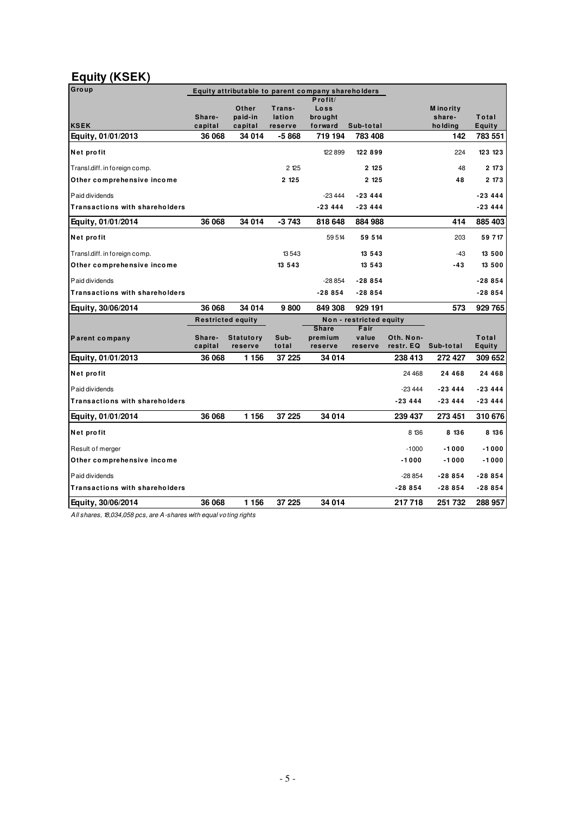## **Equity (KSEK)**

| Group                                 | Equity attributable to parent company shareholders |                             |                             |                                                 |                          |                        |                                       |                        |
|---------------------------------------|----------------------------------------------------|-----------------------------|-----------------------------|-------------------------------------------------|--------------------------|------------------------|---------------------------------------|------------------------|
| <b>KSEK</b>                           | Share-<br>capital                                  | Other<br>paid-in<br>capital | Trans-<br>lation<br>reserve | $P$ rofit/<br>Loss<br><b>brought</b><br>forward | Sub-total                |                        | <b>M</b> inority<br>share-<br>holding | Total<br><b>Equity</b> |
| Equity, 01/01/2013                    | 36 068                                             | 34 014                      | -5868                       | 719 194                                         | 783 408                  |                        | 142                                   | 783 551                |
| Net profit                            |                                                    |                             |                             | 122899                                          | 122899                   |                        | 224                                   | 123 123                |
| Transl.diff. in foreign comp.         |                                                    |                             | 2 125                       |                                                 | 2 1 2 5                  |                        | 48                                    | 2173                   |
| Other comprehensive income            |                                                    |                             | 2 125                       |                                                 | 2 1 2 5                  |                        | 48                                    | 2 173                  |
| Paid dividends                        |                                                    |                             |                             | $-23444$                                        | $-23444$                 |                        |                                       | $-23444$               |
| <b>Transactions with shareholders</b> |                                                    |                             |                             | $-23444$                                        | $-23444$                 |                        |                                       | $-23444$               |
| Equity, 01/01/2014                    | 36 068                                             | 34 014                      | $-3743$                     | 818 648                                         | 884 988                  |                        | 414                                   | 885 403                |
| Net profit                            |                                                    |                             |                             | 59514                                           | 59 514                   |                        | 203                                   | 59 717                 |
| Transl.diff. in foreign comp.         |                                                    |                             | 13543                       |                                                 | 13 5 4 3                 |                        | $-43$                                 | 13 500                 |
| Other comprehensive income            |                                                    |                             | 13 5 4 3                    |                                                 | 13 5 4 3                 |                        | $-43$                                 | 13 500                 |
| Paid dividends                        |                                                    |                             |                             | $-28854$                                        | $-28854$                 |                        |                                       | $-28854$               |
| Transactions with shareholders        |                                                    |                             |                             | $-28854$                                        | $-28854$                 |                        |                                       | $-28854$               |
| Equity, 30/06/2014                    | 36 068                                             | 34 014                      | 9800                        | 849 308                                         | 929 191                  |                        | 573                                   | 929 765                |
|                                       | <b>Restricted equity</b>                           |                             |                             |                                                 | Non - restricted equity  |                        |                                       |                        |
| Parent company                        | Share-<br>capital                                  | <b>Statutory</b><br>reserve | Sub-<br>total               | <b>Share</b><br>premium<br>reserve              | Fair<br>value<br>reserve | Oth. Non-<br>restr. EQ | Sub-total                             | Total<br><b>Equity</b> |
| Equity, 01/01/2013                    | 36 068                                             | 1 1 5 6                     | 37 225                      | 34 014                                          |                          | 238 413                | 272 427                               | 309 652                |
| Net profit                            |                                                    |                             |                             |                                                 |                          | 24 4 68                | 24 4 6 8                              | 24 4 6 8               |
| Paid dividends                        |                                                    |                             |                             |                                                 |                          | $-23444$               | -23 444                               | -23 444                |
| <b>Transactions with shareholders</b> |                                                    |                             |                             |                                                 |                          | $-23444$               | $-23444$                              | $-23444$               |
| Equity, 01/01/2014                    | 36 068                                             | 1 1 5 6                     | 37 225                      | 34 014                                          |                          | 239 437                | 273 451                               | 310 676                |
| Net profit                            |                                                    |                             |                             |                                                 |                          | 8 136                  | 8 136                                 | 8 136                  |
| Result of merger                      |                                                    |                             |                             |                                                 |                          | $-1000$                | $-1000$                               | $-1000$                |
| Other comprehensive income            |                                                    |                             |                             |                                                 |                          | $-1000$                | $-1000$                               | $-1000$                |
| Paid dividends                        |                                                    |                             |                             |                                                 |                          | $-28854$               | $-28854$                              | $-28854$               |
| Transactions with shareholders        |                                                    |                             |                             |                                                 |                          | $-28854$               | $-28854$                              | $-28854$               |
| Equity, 30/06/2014                    | 36 068                                             | 1 1 5 6                     | 37 225                      | 34 014                                          |                          | 217718                 | 251 732                               | 288 957                |

All shares, 18,034,058 pcs, are A-shares with equal voting rights